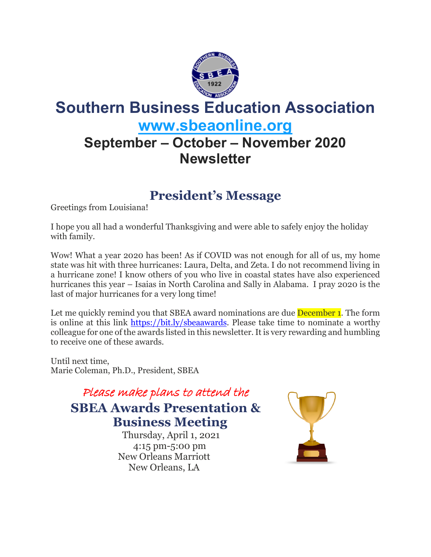

# **Southern Business Education Association [www.sbeaonline.org](https://www.sbeaonline.org/)**

## **September – October – November 2020 Newsletter**

### **President's Message**

Greetings from Louisiana!

I hope you all had a wonderful Thanksgiving and were able to safely enjoy the holiday with family.

Wow! What a year 2020 has been! As if COVID was not enough for all of us, my home state was hit with three hurricanes: Laura, Delta, and Zeta. I do not recommend living in a hurricane zone! I know others of you who live in coastal states have also experienced hurricanes this year – Isaias in North Carolina and Sally in Alabama. I pray 2020 is the last of major hurricanes for a very long time!

Let me quickly remind you that SBEA award nominations are due **December 1**. The form is online at this link [https://bit.ly/sbeaawards.](https://bit.ly/sbeaawards) Please take time to nominate a worthy colleague for one of the awards listed in this newsletter. It is very rewarding and humbling to receive one of these awards.

Until next time, Marie Coleman, Ph.D., President, SBEA

> Please make plans to attend the **SBEA Awards Presentation & Business Meeting**

Thursday, April 1, 2021 4:15 pm-5:00 pm New Orleans Marriott [New Orleans, LA](http://maps.google.com/?q=New%20Orleans%2C%20LA)

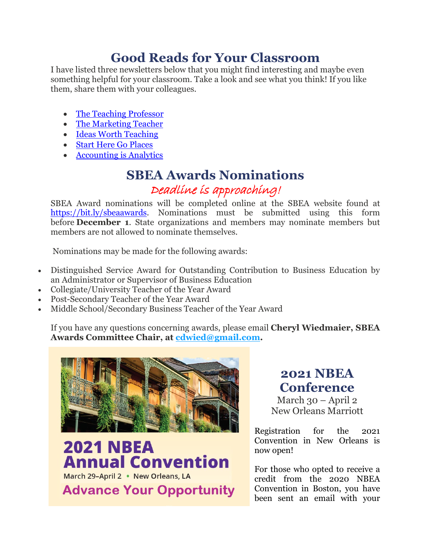### **Good Reads for Your Classroom**

I have listed three newsletters below that you might find interesting and maybe even something helpful for your classroom. Take a look and see what you think! If you like them, share them with your colleagues.

- [The Teaching Professor](https://magnapublications.activehosted.com/index.php?action=social&chash=26f5bd4aa64fdadf96152ca6e6408068.2305&s=68dd5bb2a7a40beec135bea36dd7e5b4)
- [The Marketing Teacher](https://iteachmarketing.wixsite.com/tmthome)
- [Ideas Worth Teaching](https://www.aspeninstitute.org/programs/business-and-society-program/ideas-worth-teaching/)
- [Start Here Go Places](https://www.startheregoplaces.com/)
- [Accounting is Analytics](https://accountingisanalytics.com/webinar-recordings/)

#### **SBEA Awards Nominations** Deadline is approaching!

SBEA Award nominations will be completed online at the SBEA website found at [https://bit.ly/sbeaawards.](https://bit.ly/sbeaawards) Nominations must be submitted using this form before **December 1**. State organizations and members may nominate members but members are not allowed to nominate themselves.

Nominations may be made for the following awards:

- Distinguished Service Award for Outstanding Contribution to Business Education by an Administrator or Supervisor of Business Education
- Collegiate/University Teacher of the Year Award
- Post-Secondary Teacher of the Year Award
- Middle School/Secondary Business Teacher of the Year Award

If you have any questions concerning awards, please email **Cheryl Wiedmaier, SBEA Awards Committee Chair, at [cdwied@gmail.com.](https://cdwied@gmail.com/)**



**2021 NBEA Annual Convention** March 29-April 2 • New Orleans, LA **Advance Your Opportunity** 

#### **2021 NBEA Conference**

March 30 – April 2 New Orleans Marriott

Registration for the 2021 Convention in New Orleans is now open!

For those who opted to receive a credit from the 2020 NBEA Convention in Boston, you have been sent an email with your